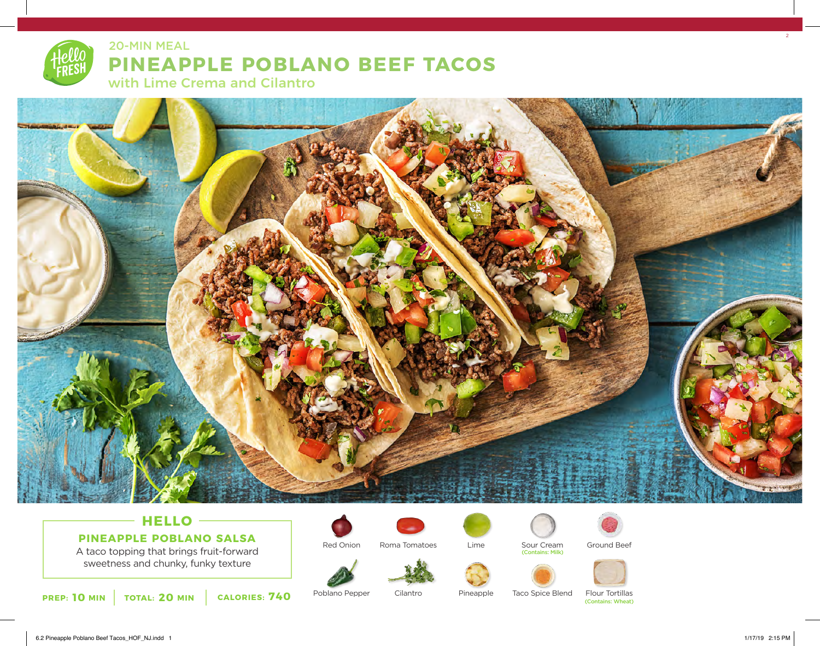# **PINEAPPLE POBLANO BEEF TACOS** 20-MIN MEAL

with Lime Crema and Cilantro



# **HELLO PINEAPPLE POBLANO SALSA**

A taco topping that brings fruit-forward sweetness and chunky, funky texture



Poblano Pepper

Red Onion



Roma Tomatoes



Cilantro



Lime

Pineapple

Sour Cream

(Contains: Milk)



Ground Beef

Taco Spice Blend

Flour Tortillas (Contains: Wheat)

6.2 Pineapple Poblano Beef Tacos\_HOF\_NJ.indd 1 1/17/19 2:15 PM

 $2<sup>2</sup>$